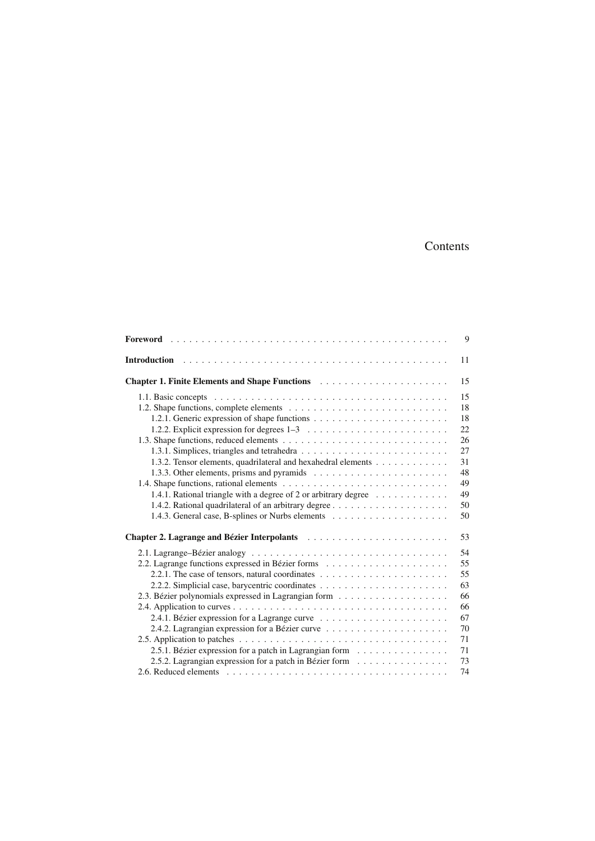## Contents

|                                                                                                                                                                                                                                | 9  |
|--------------------------------------------------------------------------------------------------------------------------------------------------------------------------------------------------------------------------------|----|
|                                                                                                                                                                                                                                | 11 |
|                                                                                                                                                                                                                                | 15 |
|                                                                                                                                                                                                                                | 15 |
|                                                                                                                                                                                                                                | 18 |
|                                                                                                                                                                                                                                | 18 |
|                                                                                                                                                                                                                                | 22 |
|                                                                                                                                                                                                                                | 26 |
|                                                                                                                                                                                                                                | 27 |
| 1.3.2. Tensor elements, quadrilateral and hexahedral elements                                                                                                                                                                  | 31 |
|                                                                                                                                                                                                                                | 48 |
|                                                                                                                                                                                                                                | 49 |
| 1.4.1. Rational triangle with a degree of 2 or arbitrary degree $\dots \dots \dots \dots$                                                                                                                                      | 49 |
|                                                                                                                                                                                                                                | 50 |
|                                                                                                                                                                                                                                | 50 |
| Chapter 2. Lagrange and Bézier Interpolants entermination of the contract of the Chapter of Chapter of the Chapter of Chapter of Chapter of Chapter of Chapter of Chapter of Chapter of Chapter of Chapter of Chapter of Chapt | 53 |
|                                                                                                                                                                                                                                | 54 |
|                                                                                                                                                                                                                                | 55 |
|                                                                                                                                                                                                                                | 55 |
|                                                                                                                                                                                                                                | 63 |
|                                                                                                                                                                                                                                | 66 |
|                                                                                                                                                                                                                                | 66 |
|                                                                                                                                                                                                                                | 67 |
|                                                                                                                                                                                                                                | 70 |
|                                                                                                                                                                                                                                | 71 |
| 2.5.1. Bézier expression for a patch in Lagrangian form $\dots \dots \dots \dots \dots$                                                                                                                                        | 71 |
| 2.5.2. Lagrangian expression for a patch in Bézier form                                                                                                                                                                        | 73 |
|                                                                                                                                                                                                                                | 74 |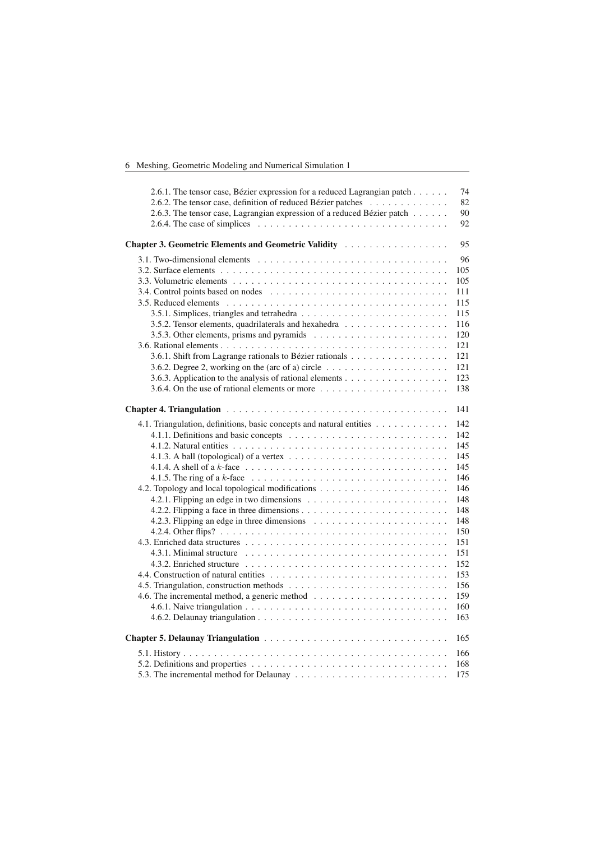|  |  |  |  |  |  | 6 Meshing, Geometric Modeling and Numerical Simulation 1 |  |
|--|--|--|--|--|--|----------------------------------------------------------|--|
|--|--|--|--|--|--|----------------------------------------------------------|--|

| 2.6.1. The tensor case, Bézier expression for a reduced Lagrangian patch<br>2.6.2. The tensor case, definition of reduced Bézier patches<br>2.6.3. The tensor case, Lagrangian expression of a reduced Bézier patch<br>2.6.4. The case of simplices $\ldots \ldots \ldots \ldots \ldots \ldots \ldots \ldots \ldots \ldots \ldots$ | 74<br>82<br>90<br>92 |
|------------------------------------------------------------------------------------------------------------------------------------------------------------------------------------------------------------------------------------------------------------------------------------------------------------------------------------|----------------------|
| Chapter 3. Geometric Elements and Geometric Validity                                                                                                                                                                                                                                                                               | 95                   |
|                                                                                                                                                                                                                                                                                                                                    | 96                   |
|                                                                                                                                                                                                                                                                                                                                    | 105                  |
|                                                                                                                                                                                                                                                                                                                                    | 105                  |
|                                                                                                                                                                                                                                                                                                                                    | 111                  |
|                                                                                                                                                                                                                                                                                                                                    | 115                  |
|                                                                                                                                                                                                                                                                                                                                    | 115                  |
| 3.5.2. Tensor elements, quadrilaterals and hexahedra                                                                                                                                                                                                                                                                               | 116                  |
|                                                                                                                                                                                                                                                                                                                                    | 120                  |
|                                                                                                                                                                                                                                                                                                                                    | 121                  |
| 3.6.1. Shift from Lagrange rationals to Bézier rationals                                                                                                                                                                                                                                                                           | 121                  |
| 3.6.2. Degree 2, working on the (arc of a) circle $\ldots \ldots \ldots \ldots \ldots \ldots$                                                                                                                                                                                                                                      | 121                  |
|                                                                                                                                                                                                                                                                                                                                    | 123                  |
| 3.6.4. On the use of rational elements or more $\dots \dots \dots \dots \dots \dots \dots$                                                                                                                                                                                                                                         | 138                  |
|                                                                                                                                                                                                                                                                                                                                    |                      |
|                                                                                                                                                                                                                                                                                                                                    | 141                  |
| 4.1. Triangulation, definitions, basic concepts and natural entities                                                                                                                                                                                                                                                               | 142                  |
|                                                                                                                                                                                                                                                                                                                                    | 142                  |
|                                                                                                                                                                                                                                                                                                                                    | 145                  |
|                                                                                                                                                                                                                                                                                                                                    | 145                  |
| 4.1.4. A shell of a $k$ -face $\ldots \ldots \ldots \ldots \ldots \ldots \ldots \ldots \ldots \ldots \ldots$                                                                                                                                                                                                                       | 145                  |
| 4.1.5. The ring of a $k$ -face $\ldots \ldots \ldots \ldots \ldots \ldots \ldots \ldots \ldots \ldots \ldots$                                                                                                                                                                                                                      | 146                  |
|                                                                                                                                                                                                                                                                                                                                    | 146                  |
|                                                                                                                                                                                                                                                                                                                                    | 148                  |
|                                                                                                                                                                                                                                                                                                                                    | 148                  |
|                                                                                                                                                                                                                                                                                                                                    | 148                  |
|                                                                                                                                                                                                                                                                                                                                    | 150                  |
|                                                                                                                                                                                                                                                                                                                                    | 151                  |
|                                                                                                                                                                                                                                                                                                                                    | 151                  |
|                                                                                                                                                                                                                                                                                                                                    | 152                  |
|                                                                                                                                                                                                                                                                                                                                    | 153                  |
|                                                                                                                                                                                                                                                                                                                                    | 156                  |
|                                                                                                                                                                                                                                                                                                                                    | 159                  |
|                                                                                                                                                                                                                                                                                                                                    | 160                  |
|                                                                                                                                                                                                                                                                                                                                    | 163                  |
|                                                                                                                                                                                                                                                                                                                                    | 165                  |
|                                                                                                                                                                                                                                                                                                                                    | 166                  |
|                                                                                                                                                                                                                                                                                                                                    | 168                  |
|                                                                                                                                                                                                                                                                                                                                    | 175                  |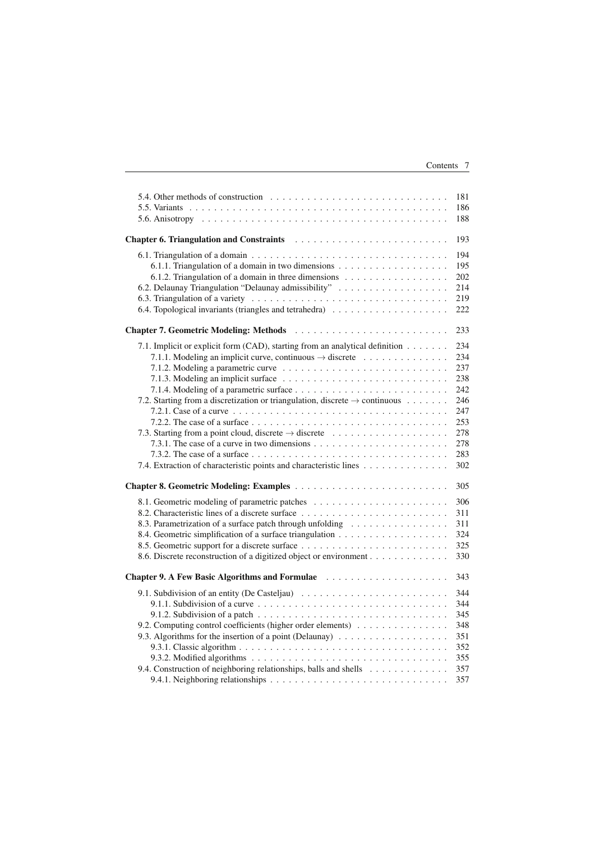| Contents |  |
|----------|--|
|----------|--|

| 5.4. Other methods of construction $\ldots$ , $\ldots$ , $\ldots$ , $\ldots$ , $\ldots$ , $\ldots$ , $\ldots$ , $\ldots$ , $\ldots$ | 181 |
|-------------------------------------------------------------------------------------------------------------------------------------|-----|
|                                                                                                                                     | 186 |
|                                                                                                                                     | 188 |
|                                                                                                                                     | 193 |
|                                                                                                                                     | 194 |
|                                                                                                                                     | 195 |
| 6.1.2. Triangulation of a domain in three dimensions                                                                                | 202 |
| 6.2. Delaunay Triangulation "Delaunay admissibility"                                                                                | 214 |
|                                                                                                                                     | 219 |
|                                                                                                                                     | 222 |
|                                                                                                                                     | 233 |
| 7.1. Implicit or explicit form (CAD), starting from an analytical definition                                                        | 234 |
| 7.1.1. Modeling an implicit curve, continuous $\rightarrow$ discrete                                                                | 234 |
|                                                                                                                                     | 237 |
|                                                                                                                                     | 238 |
|                                                                                                                                     | 242 |
| 7.2. Starting from a discretization or triangulation, discrete $\rightarrow$ continuous                                             | 246 |
|                                                                                                                                     | 247 |
|                                                                                                                                     | 253 |
| 7.3. Starting from a point cloud, discrete $\rightarrow$ discrete                                                                   | 278 |
|                                                                                                                                     | 278 |
|                                                                                                                                     | 283 |
| 7.4. Extraction of characteristic points and characteristic lines                                                                   | 302 |
| <b>Chapter 8. Geometric Modeling: Examples </b>                                                                                     | 305 |
|                                                                                                                                     | 306 |
|                                                                                                                                     | 311 |
| 8.3. Parametrization of a surface patch through unfolding                                                                           | 311 |
|                                                                                                                                     | 324 |
|                                                                                                                                     | 325 |
| 8.6. Discrete reconstruction of a digitized object or environment                                                                   | 330 |
| <b>Chapter 9. A Few Basic Algorithms and Formulae</b>                                                                               | 343 |
|                                                                                                                                     | 344 |
| 9.1.1. Subdivision of a curve $\ldots \ldots \ldots \ldots \ldots \ldots \ldots \ldots \ldots \ldots$                               | 344 |
| 9.1.2. Subdivision of a patch $\ldots \ldots \ldots \ldots \ldots \ldots \ldots \ldots \ldots \ldots \ldots$                        | 345 |
| 9.2. Computing control coefficients (higher order elements)                                                                         | 348 |
|                                                                                                                                     | 351 |
|                                                                                                                                     | 352 |
|                                                                                                                                     | 355 |
| 9.4. Construction of neighboring relationships, balls and shells                                                                    | 357 |
|                                                                                                                                     | 357 |